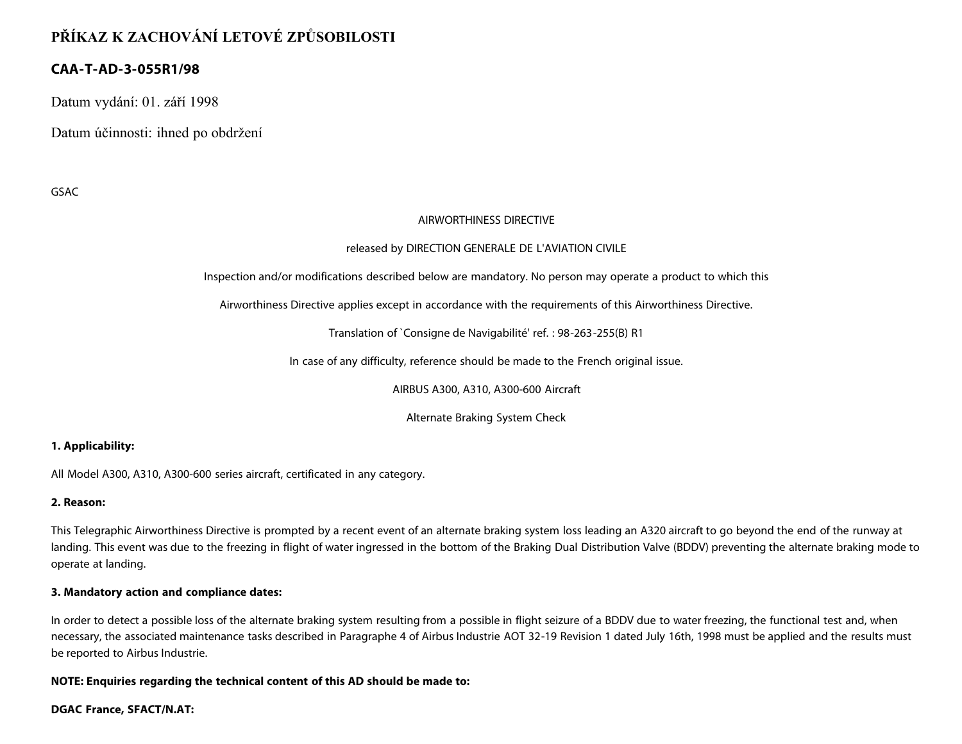# **PŘÍKAZ K ZACHOVÁNÍ LETOVÉ ZPŮSOBILOSTI**

# **CAA-T-AD-3-055R1/98**

Datum vydání: 01. září 1998

Datum účinnosti: ihned po obdržení

GSAC

#### AIRWORTHINESS DIRECTIVE

## released by DIRECTION GENERALE DE L'AVIATION CIVILE

Inspection and/or modifications described below are mandatory. No person may operate a product to which this

Airworthiness Directive applies except in accordance with the requirements of this Airworthiness Directive.

Translation of `Consigne de Navigabilité' ref. : 98-263-255(B) R1

In case of any difficulty, reference should be made to the French original issue.

AIRBUS A300, A310, A300-600 Aircraft

Alternate Braking System Check

## **1. Applicability:**

All Model A300, A310, A300-600 series aircraft, certificated in any category.

#### **2. Reason:**

This Telegraphic Airworthiness Directive is prompted by a recent event of an alternate braking system loss leading an A320 aircraft to go beyond the end of the runway at landing. This event was due to the freezing in flight of water ingressed in the bottom of the Braking Dual Distribution Valve (BDDV) preventing the alternate braking mode to operate at landing.

#### **3. Mandatory action and compliance dates:**

In order to detect a possible loss of the alternate braking system resulting from a possible in flight seizure of a BDDV due to water freezing, the functional test and, when necessary, the associated maintenance tasks described in Paragraphe 4 of Airbus Industrie AOT 32-19 Revision 1 dated July 16th, 1998 must be applied and the results must be reported to Airbus Industrie.

**NOTE: Enquiries regarding the technical content of this AD should be made to:**

#### **DGAC France, SFACT/N.AT:**